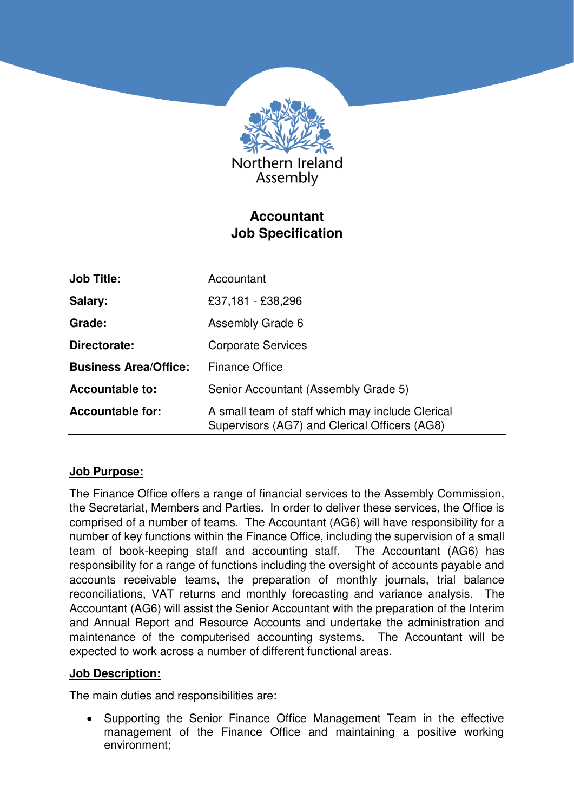

# **Accountant Job Specification**

| <b>Job Title:</b>            | Accountant                                                                                        |
|------------------------------|---------------------------------------------------------------------------------------------------|
| Salary:                      | £37,181 - £38,296                                                                                 |
| Grade:                       | Assembly Grade 6                                                                                  |
| Directorate:                 | <b>Corporate Services</b>                                                                         |
| <b>Business Area/Office:</b> | <b>Finance Office</b>                                                                             |
| <b>Accountable to:</b>       | Senior Accountant (Assembly Grade 5)                                                              |
| <b>Accountable for:</b>      | A small team of staff which may include Clerical<br>Supervisors (AG7) and Clerical Officers (AG8) |

## **Job Purpose:**

The Finance Office offers a range of financial services to the Assembly Commission, the Secretariat, Members and Parties. In order to deliver these services, the Office is comprised of a number of teams. The Accountant (AG6) will have responsibility for a number of key functions within the Finance Office, including the supervision of a small team of book-keeping staff and accounting staff. The Accountant (AG6) has responsibility for a range of functions including the oversight of accounts payable and accounts receivable teams, the preparation of monthly journals, trial balance reconciliations, VAT returns and monthly forecasting and variance analysis. The Accountant (AG6) will assist the Senior Accountant with the preparation of the Interim and Annual Report and Resource Accounts and undertake the administration and maintenance of the computerised accounting systems. The Accountant will be expected to work across a number of different functional areas.

## **Job Description:**

The main duties and responsibilities are:

• Supporting the Senior Finance Office Management Team in the effective management of the Finance Office and maintaining a positive working environment;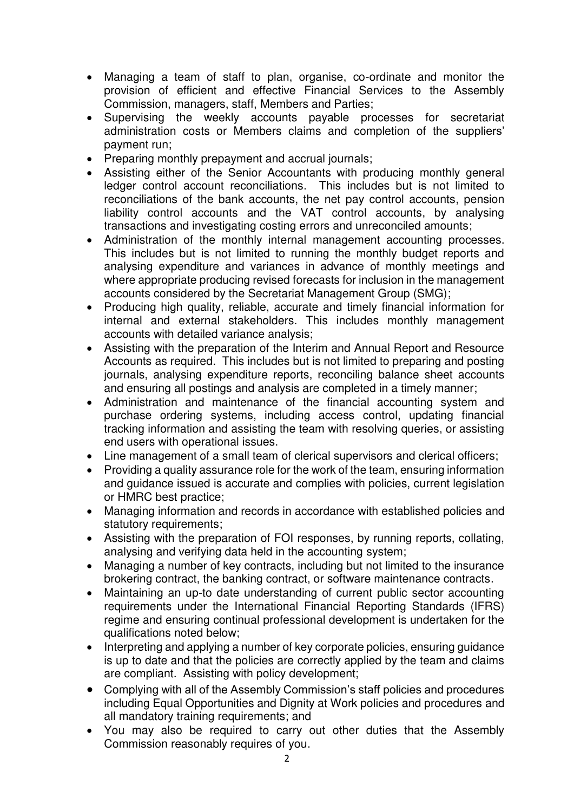- Managing a team of staff to plan, organise, co-ordinate and monitor the provision of efficient and effective Financial Services to the Assembly Commission, managers, staff, Members and Parties;
- Supervising the weekly accounts payable processes for secretariat administration costs or Members claims and completion of the suppliers' payment run;
- Preparing monthly prepayment and accrual journals;
- Assisting either of the Senior Accountants with producing monthly general ledger control account reconciliations. This includes but is not limited to reconciliations of the bank accounts, the net pay control accounts, pension liability control accounts and the VAT control accounts, by analysing transactions and investigating costing errors and unreconciled amounts;
- Administration of the monthly internal management accounting processes. This includes but is not limited to running the monthly budget reports and analysing expenditure and variances in advance of monthly meetings and where appropriate producing revised forecasts for inclusion in the management accounts considered by the Secretariat Management Group (SMG);
- Producing high quality, reliable, accurate and timely financial information for internal and external stakeholders. This includes monthly management accounts with detailed variance analysis;
- Assisting with the preparation of the Interim and Annual Report and Resource Accounts as required. This includes but is not limited to preparing and posting journals, analysing expenditure reports, reconciling balance sheet accounts and ensuring all postings and analysis are completed in a timely manner;
- Administration and maintenance of the financial accounting system and purchase ordering systems, including access control, updating financial tracking information and assisting the team with resolving queries, or assisting end users with operational issues.
- Line management of a small team of clerical supervisors and clerical officers;
- Providing a quality assurance role for the work of the team, ensuring information and guidance issued is accurate and complies with policies, current legislation or HMRC best practice;
- Managing information and records in accordance with established policies and statutory requirements:
- Assisting with the preparation of FOI responses, by running reports, collating, analysing and verifying data held in the accounting system;
- Managing a number of key contracts, including but not limited to the insurance brokering contract, the banking contract, or software maintenance contracts.
- Maintaining an up-to date understanding of current public sector accounting requirements under the International Financial Reporting Standards (IFRS) regime and ensuring continual professional development is undertaken for the qualifications noted below;
- Interpreting and applying a number of key corporate policies, ensuring quidance is up to date and that the policies are correctly applied by the team and claims are compliant. Assisting with policy development;
- Complying with all of the Assembly Commission's staff policies and procedures including Equal Opportunities and Dignity at Work policies and procedures and all mandatory training requirements; and
- You may also be required to carry out other duties that the Assembly Commission reasonably requires of you.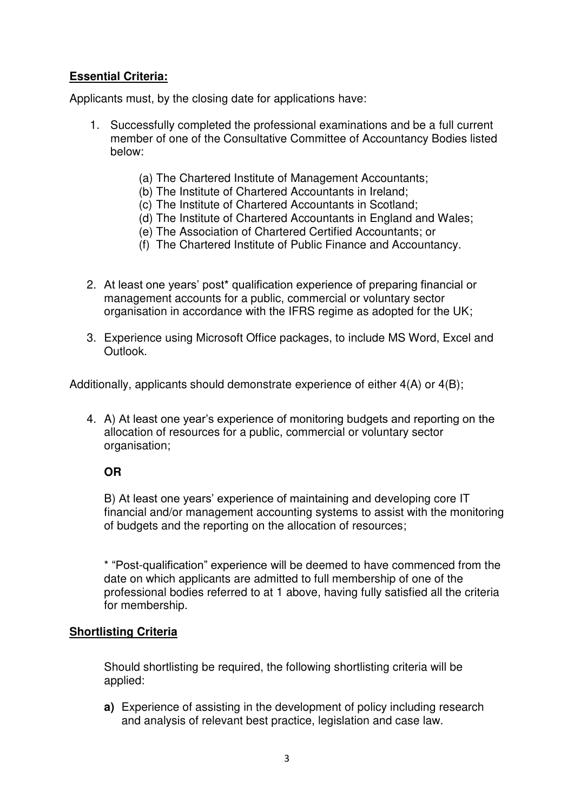# **Essential Criteria:**

Applicants must, by the closing date for applications have:

- 1. Successfully completed the professional examinations and be a full current member of one of the Consultative Committee of Accountancy Bodies listed below:
	- (a) The Chartered Institute of Management Accountants;
	- (b) The Institute of Chartered Accountants in Ireland;
	- (c) The Institute of Chartered Accountants in Scotland;
	- (d) The Institute of Chartered Accountants in England and Wales;
	- (e) The Association of Chartered Certified Accountants; or
	- (f) The Chartered Institute of Public Finance and Accountancy.
- 2. At least one years' post\* qualification experience of preparing financial or management accounts for a public, commercial or voluntary sector organisation in accordance with the IFRS regime as adopted for the UK;
- 3. Experience using Microsoft Office packages, to include MS Word, Excel and Outlook.

Additionally, applicants should demonstrate experience of either 4(A) or 4(B);

4. A) At least one year's experience of monitoring budgets and reporting on the allocation of resources for a public, commercial or voluntary sector organisation;

## **OR**

B) At least one years' experience of maintaining and developing core IT financial and/or management accounting systems to assist with the monitoring of budgets and the reporting on the allocation of resources;

\* "Post-qualification" experience will be deemed to have commenced from the date on which applicants are admitted to full membership of one of the professional bodies referred to at 1 above, having fully satisfied all the criteria for membership.

## **Shortlisting Criteria**

Should shortlisting be required, the following shortlisting criteria will be applied:

**a)** Experience of assisting in the development of policy including research and analysis of relevant best practice, legislation and case law.